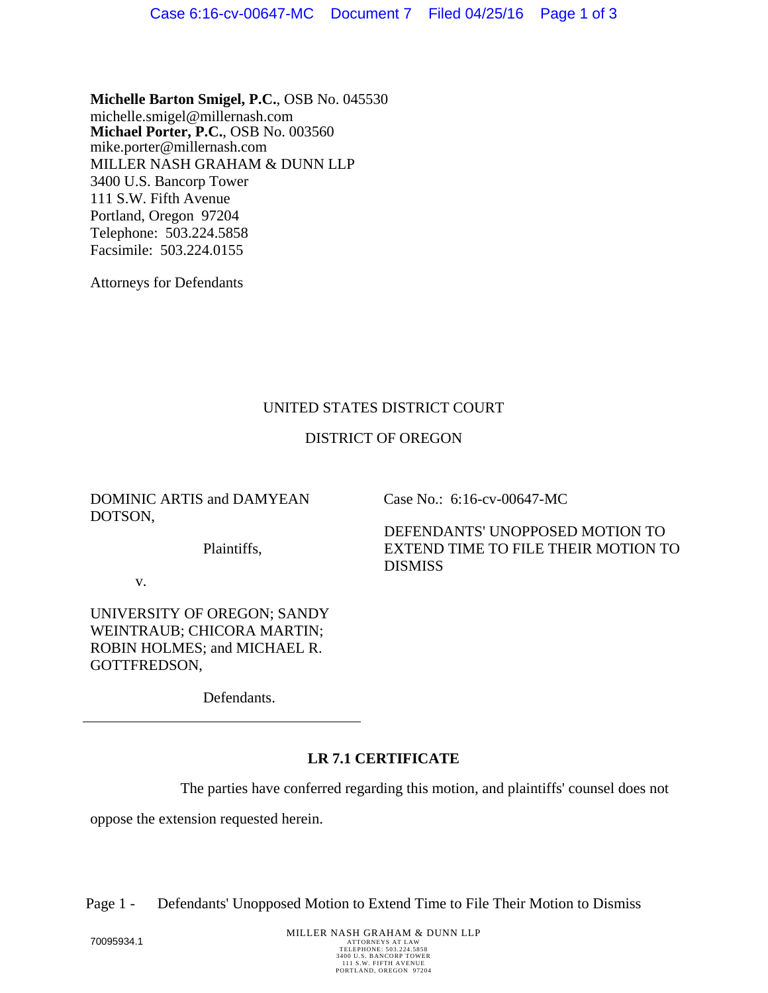**Michelle Barton Smigel, P.C.**, OSB No. 045530 michelle.smigel@millernash.com **Michael Porter, P.C.**, OSB No. 003560 mike.porter@millernash.com MILLER NASH GRAHAM & DUNN LLP 3400 U.S. Bancorp Tower 111 S.W. Fifth Avenue Portland, Oregon 97204 Telephone: 503.224.5858 Facsimile: 503.224.0155

Attorneys for Defendants

## UNITED STATES DISTRICT COURT

# DISTRICT OF OREGON

DOMINIC ARTIS and DAMYEAN DOTSON,

Case No.: 6:16-cv-00647-MC

Plaintiffs,

DEFENDANTS' UNOPPOSED MOTION TO EXTEND TIME TO FILE THEIR MOTION TO DISMISS

v.

UNIVERSITY OF OREGON; SANDY WEINTRAUB; CHICORA MARTIN; ROBIN HOLMES; and MICHAEL R. GOTTFREDSON,

Defendants.

# **LR 7.1 CERTIFICATE**

The parties have conferred regarding this motion, and plaintiffs' counsel does not

oppose the extension requested herein.

Page 1 - Defendants' Unopposed Motion to Extend Time to File Their Motion to Dismiss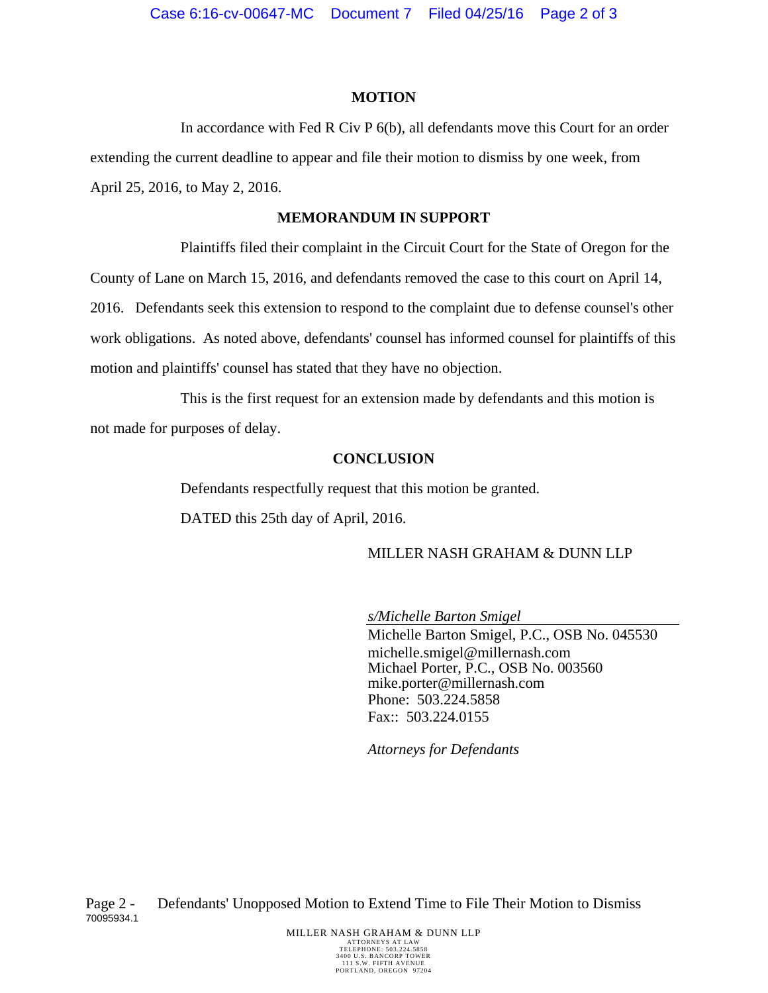#### **MOTION**

In accordance with Fed R Civ P 6(b), all defendants move this Court for an order extending the current deadline to appear and file their motion to dismiss by one week, from April 25, 2016, to May 2, 2016.

#### **MEMORANDUM IN SUPPORT**

Plaintiffs filed their complaint in the Circuit Court for the State of Oregon for the County of Lane on March 15, 2016, and defendants removed the case to this court on April 14, 2016. Defendants seek this extension to respond to the complaint due to defense counsel's other work obligations. As noted above, defendants' counsel has informed counsel for plaintiffs of this motion and plaintiffs' counsel has stated that they have no objection.

This is the first request for an extension made by defendants and this motion is not made for purposes of delay.

## **CONCLUSION**

Defendants respectfully request that this motion be granted. DATED this 25th day of April, 2016.

## MILLER NASH GRAHAM & DUNN LLP

*s/Michelle Barton Smigel* 

Michelle Barton Smigel, P.C., OSB No. 045530 michelle.smigel@millernash.com Michael Porter, P.C., OSB No. 003560 mike.porter@millernash.com Phone: 503.224.5858 Fax:: 503.224.0155

*Attorneys for Defendants*